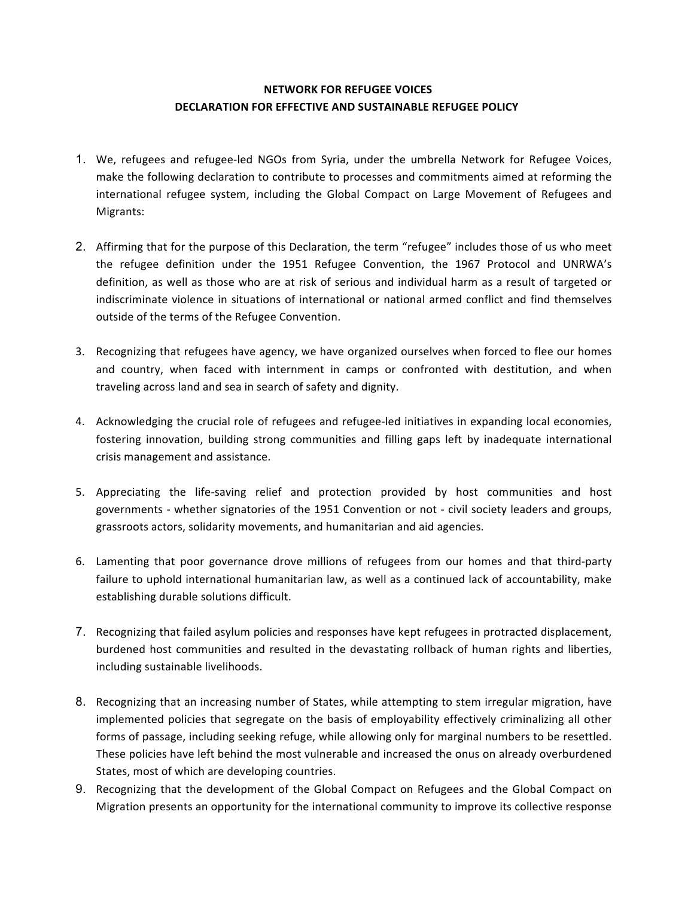# **NETWORK FOR REFUGEE VOICES DECLARATION FOR EFFECTIVE AND SUSTAINABLE REFUGEE POLICY**

- 1. We, refugees and refugee-led NGOs from Syria, under the umbrella Network for Refugee Voices, make the following declaration to contribute to processes and commitments aimed at reforming the international refugee system, including the Global Compact on Large Movement of Refugees and Migrants:
- 2. Affirming that for the purpose of this Declaration, the term "refugee" includes those of us who meet the refugee definition under the 1951 Refugee Convention, the 1967 Protocol and UNRWA's definition, as well as those who are at risk of serious and individual harm as a result of targeted or indiscriminate violence in situations of international or national armed conflict and find themselves outside of the terms of the Refugee Convention.
- 3. Recognizing that refugees have agency, we have organized ourselves when forced to flee our homes and country, when faced with internment in camps or confronted with destitution, and when traveling across land and sea in search of safety and dignity.
- 4. Acknowledging the crucial role of refugees and refugee-led initiatives in expanding local economies, fostering innovation, building strong communities and filling gaps left by inadequate international crisis management and assistance.
- 5. Appreciating the life-saving relief and protection provided by host communities and host governments - whether signatories of the 1951 Convention or not - civil society leaders and groups, grassroots actors, solidarity movements, and humanitarian and aid agencies.
- 6. Lamenting that poor governance drove millions of refugees from our homes and that third-party failure to uphold international humanitarian law, as well as a continued lack of accountability, make establishing durable solutions difficult.
- 7. Recognizing that failed asylum policies and responses have kept refugees in protracted displacement, burdened host communities and resulted in the devastating rollback of human rights and liberties, including sustainable livelihoods.
- 8. Recognizing that an increasing number of States, while attempting to stem irregular migration, have implemented policies that segregate on the basis of employability effectively criminalizing all other forms of passage, including seeking refuge, while allowing only for marginal numbers to be resettled. These policies have left behind the most vulnerable and increased the onus on already overburdened States, most of which are developing countries.
- 9. Recognizing that the development of the Global Compact on Refugees and the Global Compact on Migration presents an opportunity for the international community to improve its collective response